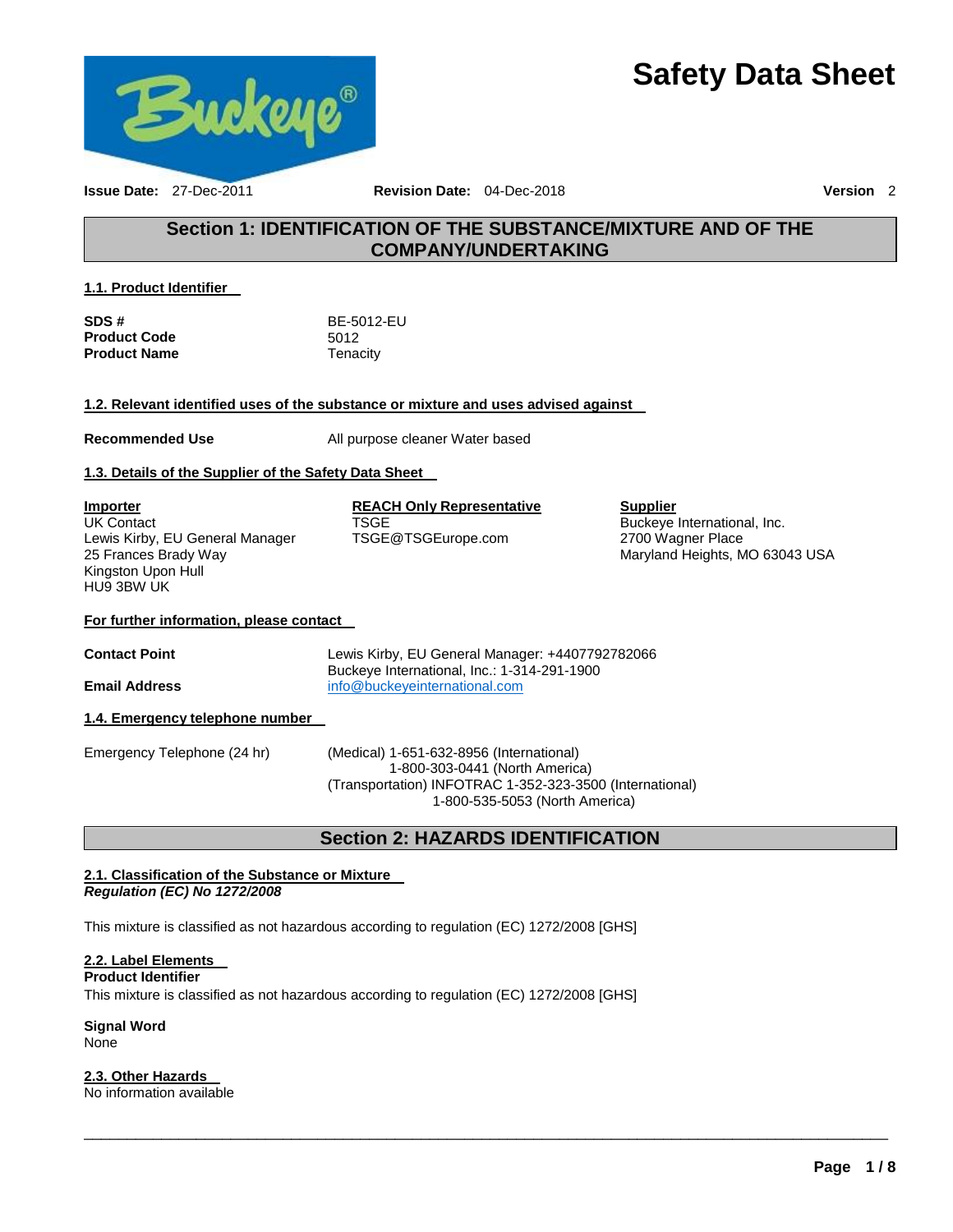# **Safety Data Sheet**



**Issue Date:** 27-Dec-2011 **Revision Date:** 04-Dec-2018 **Version** 2

### **Section 1: IDENTIFICATION OF THE SUBSTANCE/MIXTURE AND OF THE COMPANY/UNDERTAKING**

### **1.1. Product Identifier**

| SDS #               | BE-5012-EU |
|---------------------|------------|
| <b>Product Code</b> | 5012       |
| <b>Product Name</b> | Tenacity   |

### **1.2. Relevant identified uses of the substance or mixture and uses advised against**

**Recommended Use The Commended Use All purpose cleaner Water based** 

### **1.3. Details of the Supplier of the Safety Data Sheet**

**Importer** UK Contact Lewis Kirby, EU General Manager 25 Frances Brady Way Kingston Upon Hull HU9 3BW UK

#### **REACH Only Representative TSGE**

TSGE@TSGEurope.com

#### **Supplier** Buckeye International, Inc. 2700 Wagner Place Maryland Heights, MO 63043 USA

### **For further information, please contact**

| <b>Contact Point</b>            | Lewis Kirby, EU General Manager: +4407792782066<br>Buckeye International, Inc.: 1-314-291-1900 |
|---------------------------------|------------------------------------------------------------------------------------------------|
| Email Address                   | info@buckeyeinternational.com                                                                  |
| 1.4. Emergency telephone number |                                                                                                |
|                                 |                                                                                                |

Emergency Telephone (24 hr) (Medical) 1-651-632-8956 (International) 1-800-303-0441 (North America) (Transportation) INFOTRAC 1-352-323-3500 (International) 1-800-535-5053 (North America)

### **Section 2: HAZARDS IDENTIFICATION**

\_\_\_\_\_\_\_\_\_\_\_\_\_\_\_\_\_\_\_\_\_\_\_\_\_\_\_\_\_\_\_\_\_\_\_\_\_\_\_\_\_\_\_\_\_\_\_\_\_\_\_\_\_\_\_\_\_\_\_\_\_\_\_\_\_\_\_\_\_\_\_\_\_\_\_\_\_\_\_\_\_\_\_\_\_\_\_\_\_\_\_\_\_

### **2.1. Classification of the Substance or Mixture**  *Regulation (EC) No 1272/2008*

This mixture is classified as not hazardous according to regulation (EC) 1272/2008 [GHS]

### **2.2. Label Elements**

### **Product Identifier**

This mixture is classified as not hazardous according to regulation (EC) 1272/2008 [GHS]

**Signal Word** None

### **2.3. Other Hazards**

No information available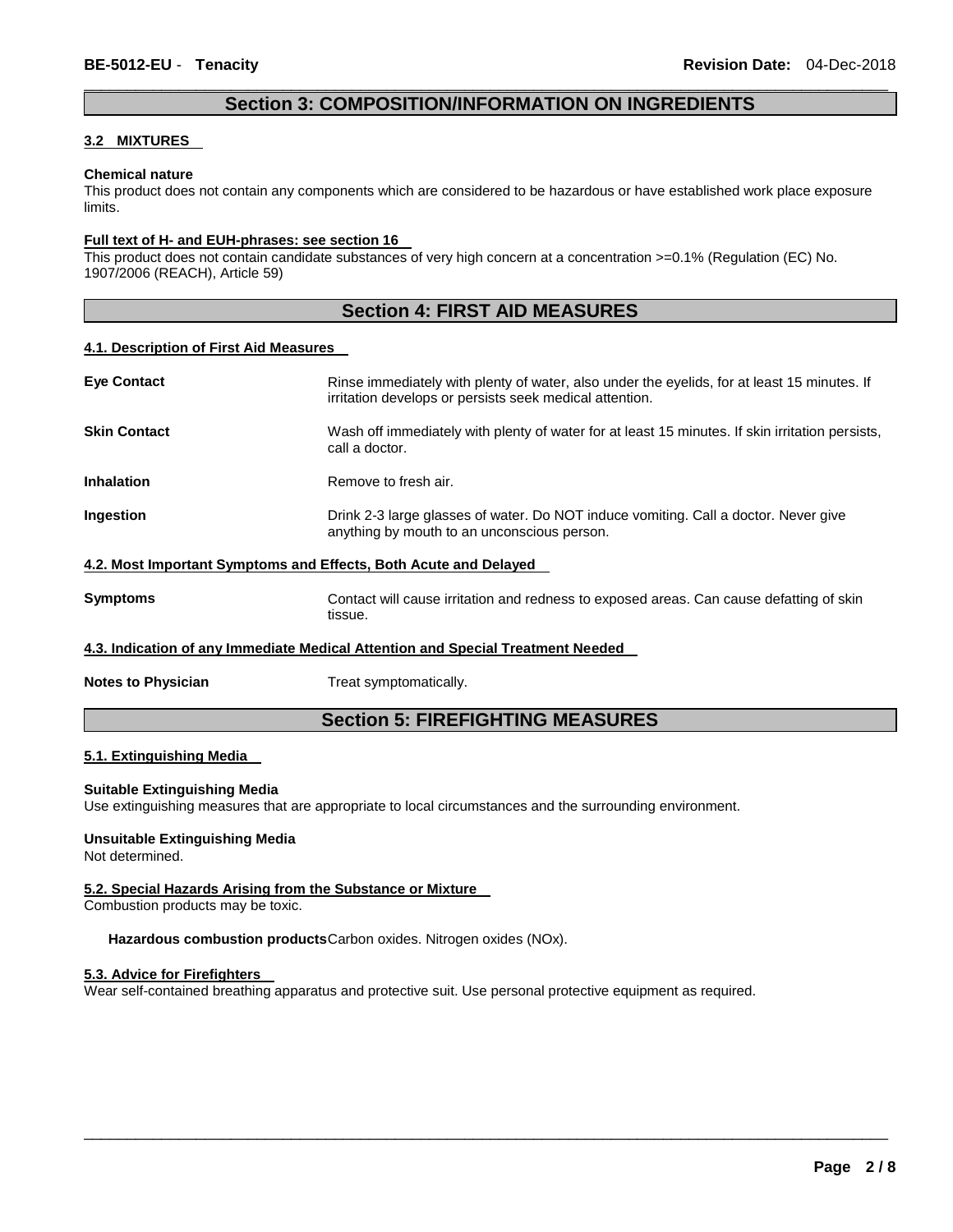### \_\_\_\_\_\_\_\_\_\_\_\_\_\_\_\_\_\_\_\_\_\_\_\_\_\_\_\_\_\_\_\_\_\_\_\_\_\_\_\_\_\_\_\_\_\_\_\_\_\_\_\_\_\_\_\_\_\_\_\_\_\_\_\_\_\_\_\_\_\_\_\_\_\_\_\_\_\_\_\_\_\_\_\_\_\_\_\_\_\_\_\_\_ **Section 3: COMPOSITION/INFORMATION ON INGREDIENTS**

### **3.2 MIXTURES**

#### **Chemical nature**

This product does not contain any components which are considered to be hazardous or have established work place exposure limits.

#### **Full text of H- and EUH-phrases: see section 16**

This product does not contain candidate substances of very high concern at a concentration >=0.1% (Regulation (EC) No. 1907/2006 (REACH), Article 59)

### **Section 4: FIRST AID MEASURES**

#### **4.1. Description of First Aid Measures**

| <b>Section 5: FIREFIGHTING MEASURES</b>                                         |                                                                                                                                                        |  |  |  |
|---------------------------------------------------------------------------------|--------------------------------------------------------------------------------------------------------------------------------------------------------|--|--|--|
| <b>Notes to Physician</b>                                                       | Treat symptomatically.                                                                                                                                 |  |  |  |
| 4.3. Indication of any Immediate Medical Attention and Special Treatment Needed |                                                                                                                                                        |  |  |  |
| Symptoms                                                                        | Contact will cause irritation and redness to exposed areas. Can cause defatting of skin<br>tissue.                                                     |  |  |  |
| 4.2. Most Important Symptoms and Effects, Both Acute and Delayed                |                                                                                                                                                        |  |  |  |
| Ingestion                                                                       | Drink 2-3 large glasses of water. Do NOT induce vomiting. Call a doctor. Never give<br>anything by mouth to an unconscious person.                     |  |  |  |
| Inhalation                                                                      | Remove to fresh air.                                                                                                                                   |  |  |  |
| <b>Skin Contact</b>                                                             | Wash off immediately with plenty of water for at least 15 minutes. If skin irritation persists,<br>call a doctor.                                      |  |  |  |
| <b>Eye Contact</b>                                                              | Rinse immediately with plenty of water, also under the eyelids, for at least 15 minutes. If<br>irritation develops or persists seek medical attention. |  |  |  |

### **5.1. Extinguishing Media**

#### **Suitable Extinguishing Media**

Use extinguishing measures that are appropriate to local circumstances and the surrounding environment.

#### **Unsuitable Extinguishing Media**

Not determined.

### **5.2. Special Hazards Arising from the Substance or Mixture**

Combustion products may be toxic.

#### Hazardous combustion products Carbon oxides. Nitrogen oxides (NOx).

#### **5.3. Advice for Firefighters**

Wear self-contained breathing apparatus and protective suit. Use personal protective equipment as required.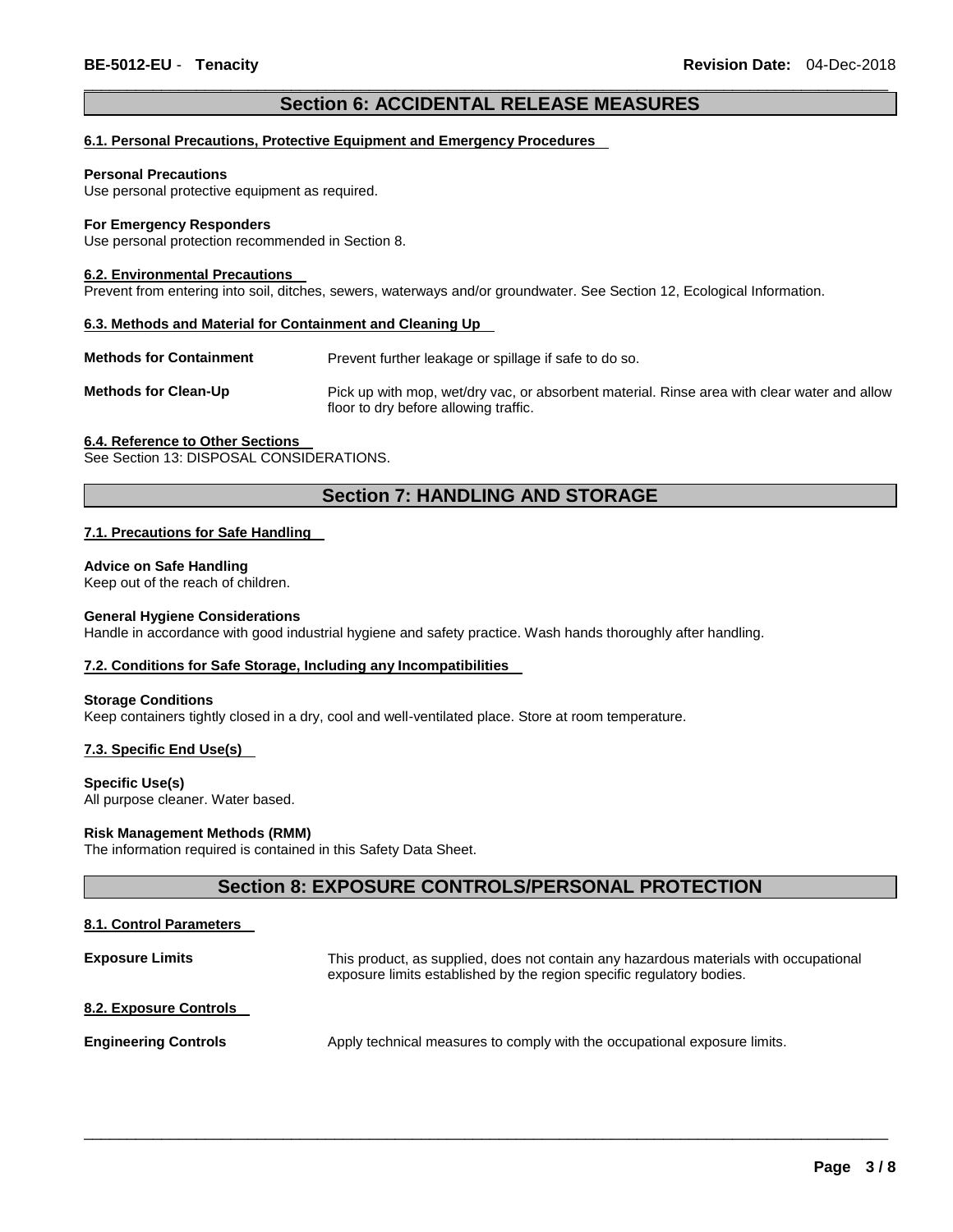### \_\_\_\_\_\_\_\_\_\_\_\_\_\_\_\_\_\_\_\_\_\_\_\_\_\_\_\_\_\_\_\_\_\_\_\_\_\_\_\_\_\_\_\_\_\_\_\_\_\_\_\_\_\_\_\_\_\_\_\_\_\_\_\_\_\_\_\_\_\_\_\_\_\_\_\_\_\_\_\_\_\_\_\_\_\_\_\_\_\_\_\_\_ **Section 6: ACCIDENTAL RELEASE MEASURES**

#### **6.1. Personal Precautions, Protective Equipment and Emergency Procedures**

#### **Personal Precautions**

Use personal protective equipment as required.

#### **For Emergency Responders**

Use personal protection recommended in Section 8.

#### **6.2. Environmental Precautions**

Prevent from entering into soil, ditches, sewers, waterways and/or groundwater. See Section 12, Ecological Information.

#### **6.3. Methods and Material for Containment and Cleaning Up**

**Methods for Containment** Prevent further leakage or spillage if safe to do so.

**Methods for Clean-Up** Pick up with mop, wet/dry vac, or absorbent material. Rinse area with clear water and allow floor to dry before allowing traffic.

#### **6.4. Reference to Other Sections**

See Section 13: DISPOSAL CONSIDERATIONS.

### **Section 7: HANDLING AND STORAGE**

#### **7.1. Precautions for Safe Handling**

#### **Advice on Safe Handling**

Keep out of the reach of children.

#### **General Hygiene Considerations**

Handle in accordance with good industrial hygiene and safety practice. Wash hands thoroughly after handling.

### **7.2. Conditions for Safe Storage, Including any Incompatibilities**

#### **Storage Conditions**

Keep containers tightly closed in a dry, cool and well-ventilated place. Store at room temperature.

#### **7.3. Specific End Use(s)**

### **Specific Use(s)**

All purpose cleaner. Water based.

#### **Risk Management Methods (RMM)**

The information required is contained in this Safety Data Sheet.

### **Section 8: EXPOSURE CONTROLS/PERSONAL PROTECTION**

### **8.1. Control Parameters**

**Exposure Limits** This product, as supplied, does not contain any hazardous materials with occupational exposure limits established by the region specific regulatory bodies. **8.2. Exposure Controls Engineering Controls** Apply technical measures to comply with the occupational exposure limits.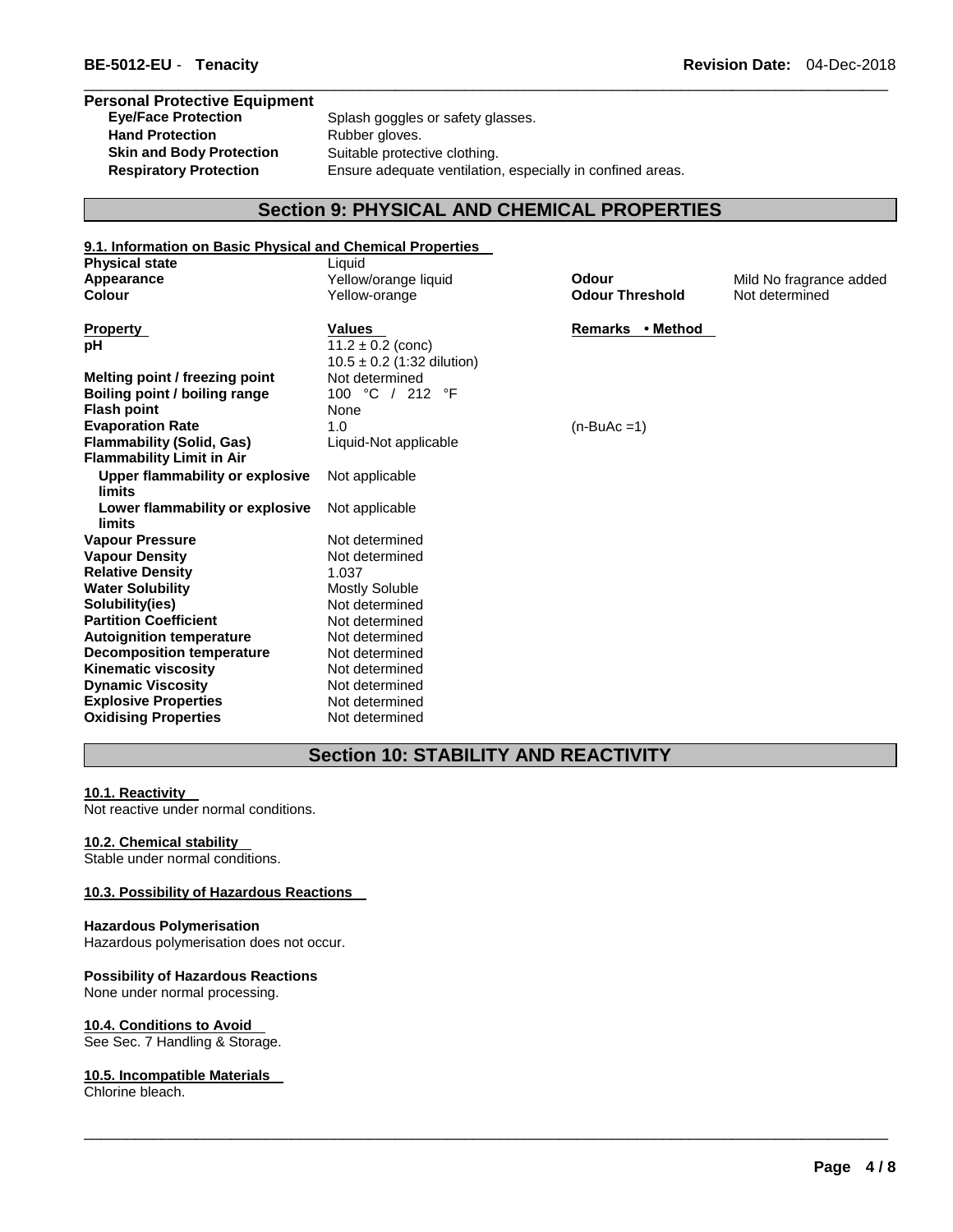### **Personal Protective Equipment**  Hand Protection **Rubber gloves**. **Skin and Body Protection** Suitable protective clothing.

Splash goggles or safety glasses. **Respiratory Protection** Ensure adequate ventilation, especially in confined areas.

\_\_\_\_\_\_\_\_\_\_\_\_\_\_\_\_\_\_\_\_\_\_\_\_\_\_\_\_\_\_\_\_\_\_\_\_\_\_\_\_\_\_\_\_\_\_\_\_\_\_\_\_\_\_\_\_\_\_\_\_\_\_\_\_\_\_\_\_\_\_\_\_\_\_\_\_\_\_\_\_\_\_\_\_\_\_\_\_\_\_\_\_\_

## **Section 9: PHYSICAL AND CHEMICAL PROPERTIES**

| 9.1. Information on Basic Physical and Chemical Properties |                                |                        |                         |
|------------------------------------------------------------|--------------------------------|------------------------|-------------------------|
| <b>Physical state</b>                                      | Liquid                         |                        |                         |
| Appearance                                                 | Yellow/orange liquid           | Odour                  | Mild No fragrance added |
| Colour                                                     | Yellow-orange                  | <b>Odour Threshold</b> | Not determined          |
| <b>Property</b>                                            | <b>Values</b>                  | Remarks • Method       |                         |
| pH                                                         | $11.2 \pm 0.2$ (conc)          |                        |                         |
|                                                            | $10.5 \pm 0.2$ (1:32 dilution) |                        |                         |
| Melting point / freezing point                             | Not determined                 |                        |                         |
| Boiling point / boiling range                              | 100 °C / 212 °F                |                        |                         |
| <b>Flash point</b>                                         | None                           |                        |                         |
| <b>Evaporation Rate</b>                                    | 1.0                            | $(n-BuAc=1)$           |                         |
| <b>Flammability (Solid, Gas)</b>                           | Liquid-Not applicable          |                        |                         |
| <b>Flammability Limit in Air</b>                           |                                |                        |                         |
| Upper flammability or explosive<br><b>limits</b>           | Not applicable                 |                        |                         |
| Lower flammability or explosive<br>limits                  | Not applicable                 |                        |                         |
| <b>Vapour Pressure</b>                                     | Not determined                 |                        |                         |
| <b>Vapour Density</b>                                      | Not determined                 |                        |                         |
| <b>Relative Density</b>                                    | 1.037                          |                        |                         |
| <b>Water Solubility</b>                                    | <b>Mostly Soluble</b>          |                        |                         |
| Solubility(ies)                                            | Not determined                 |                        |                         |
| <b>Partition Coefficient</b>                               | Not determined                 |                        |                         |
| <b>Autoignition temperature</b>                            | Not determined                 |                        |                         |
| <b>Decomposition temperature</b>                           | Not determined                 |                        |                         |
| <b>Kinematic viscosity</b>                                 | Not determined                 |                        |                         |
| <b>Dynamic Viscosity</b>                                   | Not determined                 |                        |                         |
| <b>Explosive Properties</b>                                | Not determined                 |                        |                         |
| <b>Oxidising Properties</b>                                | Not determined                 |                        |                         |

## **Section 10: STABILITY AND REACTIVITY**

\_\_\_\_\_\_\_\_\_\_\_\_\_\_\_\_\_\_\_\_\_\_\_\_\_\_\_\_\_\_\_\_\_\_\_\_\_\_\_\_\_\_\_\_\_\_\_\_\_\_\_\_\_\_\_\_\_\_\_\_\_\_\_\_\_\_\_\_\_\_\_\_\_\_\_\_\_\_\_\_\_\_\_\_\_\_\_\_\_\_\_\_\_

### **10.1. Reactivity**

Not reactive under normal conditions.

### **10.2. Chemical stability**

Stable under normal conditions.

### **10.3. Possibility of Hazardous Reactions**

### **Hazardous Polymerisation**

Hazardous polymerisation does not occur.

### **Possibility of Hazardous Reactions**

None under normal processing.

### **10.4. Conditions to Avoid**

See Sec. 7 Handling & Storage.

### **10.5. Incompatible Materials**

Chlorine bleach.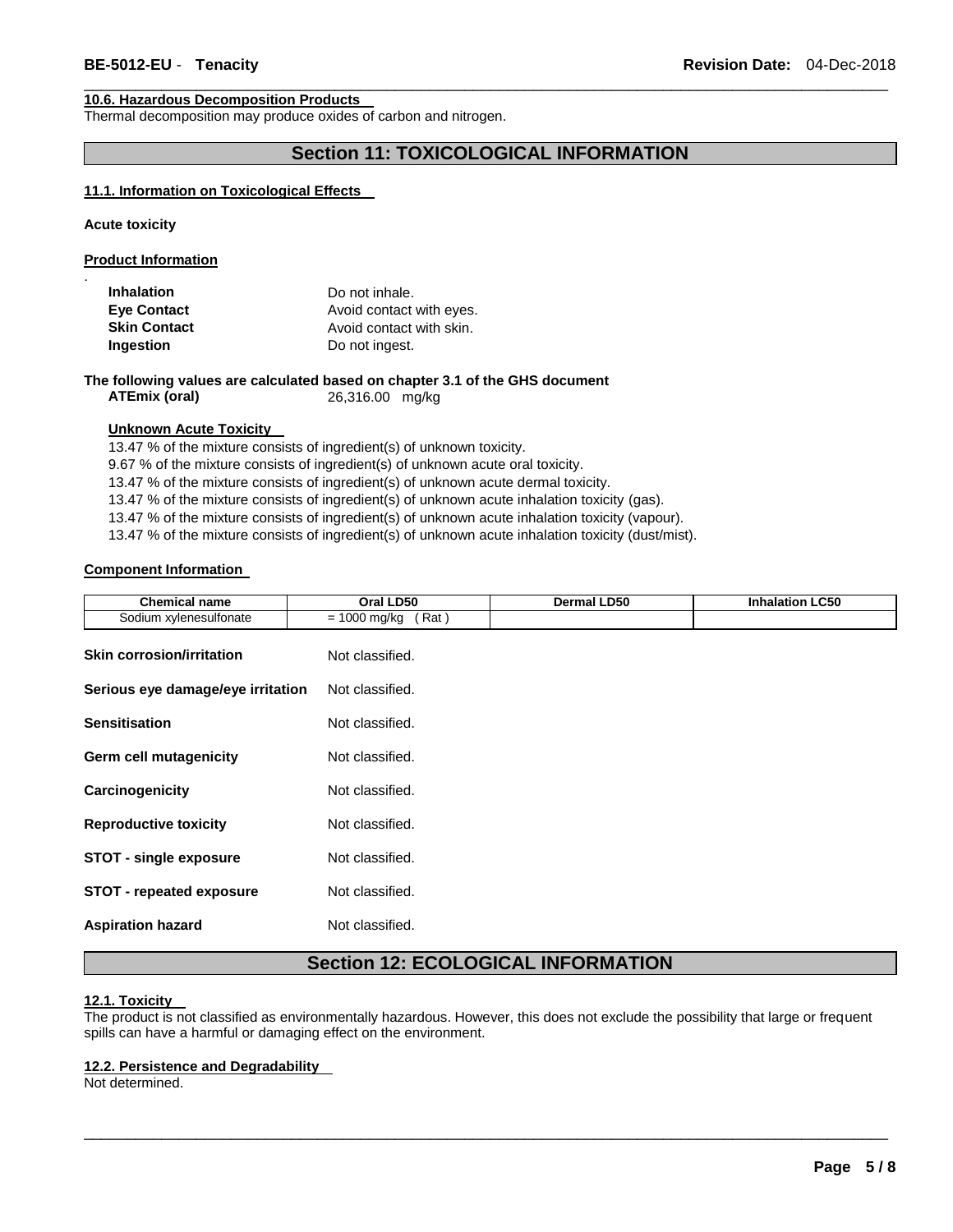#### **10.6. Hazardous Decomposition Products**

Thermal decomposition may produce oxides of carbon and nitrogen.

### **Section 11: TOXICOLOGICAL INFORMATION**

\_\_\_\_\_\_\_\_\_\_\_\_\_\_\_\_\_\_\_\_\_\_\_\_\_\_\_\_\_\_\_\_\_\_\_\_\_\_\_\_\_\_\_\_\_\_\_\_\_\_\_\_\_\_\_\_\_\_\_\_\_\_\_\_\_\_\_\_\_\_\_\_\_\_\_\_\_\_\_\_\_\_\_\_\_\_\_\_\_\_\_\_\_

### **11.1. Information on Toxicological Effects**

**Acute toxicity** 

.

**Product Information**

| <b>Inhalation</b>   | Do not inhale.           |
|---------------------|--------------------------|
| <b>Eye Contact</b>  | Avoid contact with eyes. |
| <b>Skin Contact</b> | Avoid contact with skin. |
| Ingestion           | Do not ingest.           |

**The following values are calculated based on chapter 3.1 of the GHS document** 

**ATEmix (oral)** 26,316.00 mg/kg

### **Unknown Acute Toxicity**

13.47 % of the mixture consists of ingredient(s) of unknown toxicity.

9.67 % of the mixture consists of ingredient(s) of unknown acute oral toxicity.

13.47 % of the mixture consists of ingredient(s) of unknown acute dermal toxicity.

13.47 % of the mixture consists of ingredient(s) of unknown acute inhalation toxicity (gas).

13.47 % of the mixture consists of ingredient(s) of unknown acute inhalation toxicity (vapour).

13.47 % of the mixture consists of ingredient(s) of unknown acute inhalation toxicity (dust/mist).

### **Component Information**

| <b>Chemical name</b>              | Oral LD50              | Dermal LD50 | <b>Inhalation LC50</b> |
|-----------------------------------|------------------------|-------------|------------------------|
| Sodium xylenesulfonate            | $= 1000$ mg/kg<br>Rat) |             |                        |
| <b>Skin corrosion/irritation</b>  | Not classified.        |             |                        |
| Serious eye damage/eye irritation | Not classified.        |             |                        |
| <b>Sensitisation</b>              | Not classified.        |             |                        |
| <b>Germ cell mutagenicity</b>     | Not classified.        |             |                        |
| Carcinogenicity                   | Not classified.        |             |                        |
| <b>Reproductive toxicity</b>      | Not classified.        |             |                        |
| <b>STOT - single exposure</b>     | Not classified.        |             |                        |
| <b>STOT - repeated exposure</b>   | Not classified.        |             |                        |
| <b>Aspiration hazard</b>          | Not classified.        |             |                        |
|                                   |                        |             |                        |

## **Section 12: ECOLOGICAL INFORMATION**

### **12.1. Toxicity**

The product is not classified as environmentally hazardous. However, this does not exclude the possibility that large or frequent spills can have a harmful or damaging effect on the environment.

\_\_\_\_\_\_\_\_\_\_\_\_\_\_\_\_\_\_\_\_\_\_\_\_\_\_\_\_\_\_\_\_\_\_\_\_\_\_\_\_\_\_\_\_\_\_\_\_\_\_\_\_\_\_\_\_\_\_\_\_\_\_\_\_\_\_\_\_\_\_\_\_\_\_\_\_\_\_\_\_\_\_\_\_\_\_\_\_\_\_\_\_\_

#### **12.2. Persistence and Degradability**

Not determined.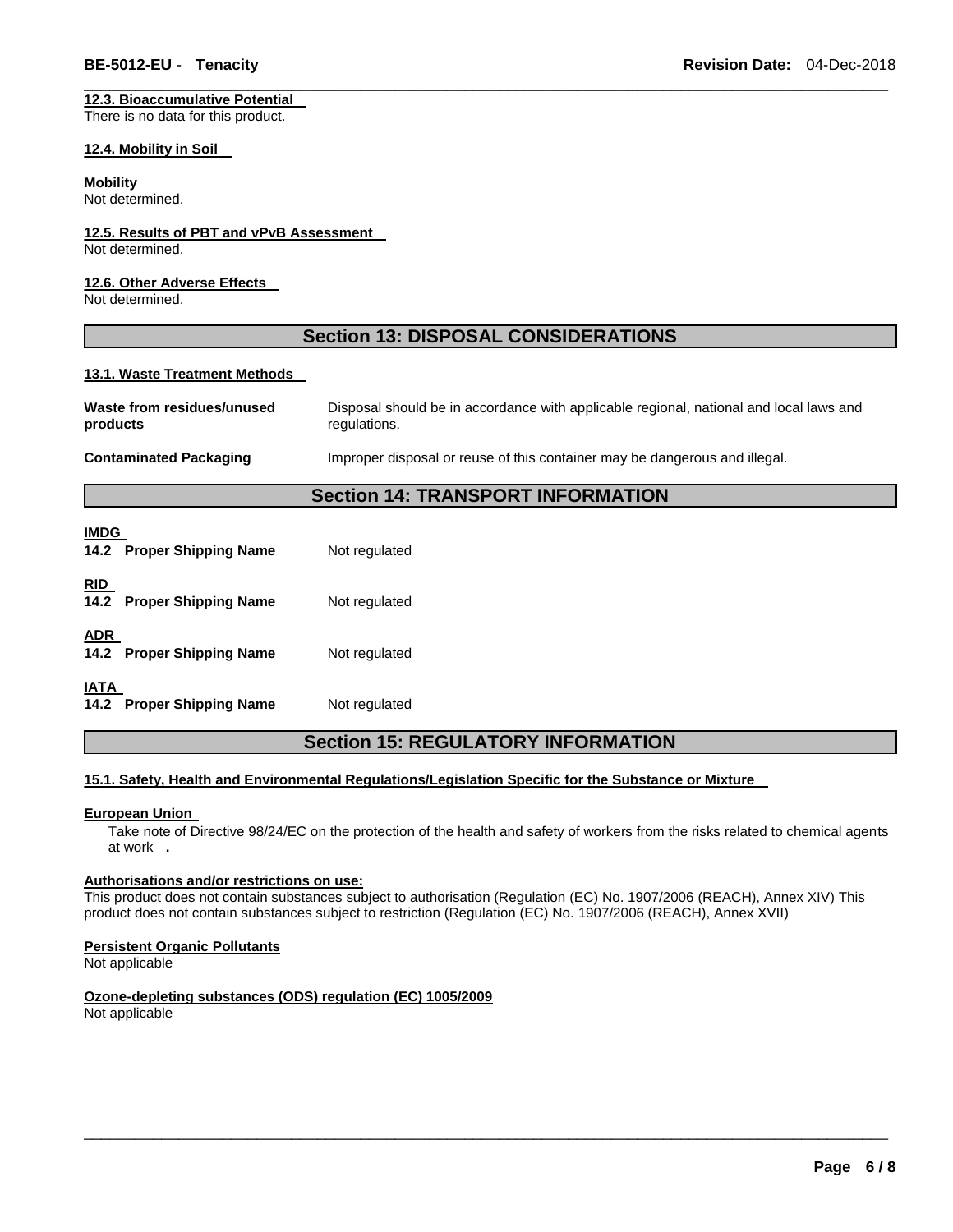### **12.3. Bioaccumulative Potential**

There is no data for this product.

#### **12.4. Mobility in Soil**

### **Mobility**

Not determined.

### **12.5. Results of PBT and vPvB Assessment**

Not determined.

### **12.6. Other Adverse Effects**

Not determined.

### **Section 13: DISPOSAL CONSIDERATIONS**

\_\_\_\_\_\_\_\_\_\_\_\_\_\_\_\_\_\_\_\_\_\_\_\_\_\_\_\_\_\_\_\_\_\_\_\_\_\_\_\_\_\_\_\_\_\_\_\_\_\_\_\_\_\_\_\_\_\_\_\_\_\_\_\_\_\_\_\_\_\_\_\_\_\_\_\_\_\_\_\_\_\_\_\_\_\_\_\_\_\_\_\_\_

#### **13.1. Waste Treatment Methods**

| Waste from residues/unused_ | Disposal should be in accordance with applicable regional, national and local laws and |  |  |  |
|-----------------------------|----------------------------------------------------------------------------------------|--|--|--|
| products                    | regulations.                                                                           |  |  |  |
| Contaminated Packaging      | Improper disposal or reuse of this container may be dangerous and illegal.             |  |  |  |

### **Section 14: TRANSPORT INFORMATION**

| <b>IMDG</b><br>14.2 Proper Shipping Name | Not regulated |
|------------------------------------------|---------------|
| <b>RID</b><br>14.2 Proper Shipping Name  | Not regulated |
| <b>ADR</b><br>14.2 Proper Shipping Name  | Not regulated |
| <b>IATA</b><br>14.2 Proper Shipping Name | Not regulated |

### **Section 15: REGULATORY INFORMATION**

### **15.1. Safety, Health and Environmental Regulations/Legislation Specific for the Substance or Mixture**

### **European Union**

Take note of Directive 98/24/EC on the protection of the health and safety of workers from the risks related to chemical agents at work **.** 

### **Authorisations and/or restrictions on use:**

This product does not contain substances subject to authorisation (Regulation (EC) No. 1907/2006 (REACH), Annex XIV) This product does not contain substances subject to restriction (Regulation (EC) No. 1907/2006 (REACH), Annex XVII)

\_\_\_\_\_\_\_\_\_\_\_\_\_\_\_\_\_\_\_\_\_\_\_\_\_\_\_\_\_\_\_\_\_\_\_\_\_\_\_\_\_\_\_\_\_\_\_\_\_\_\_\_\_\_\_\_\_\_\_\_\_\_\_\_\_\_\_\_\_\_\_\_\_\_\_\_\_\_\_\_\_\_\_\_\_\_\_\_\_\_\_\_\_

### **Persistent Organic Pollutants**

Not applicable

### **Ozone-depleting substances (ODS) regulation (EC) 1005/2009**

Not applicable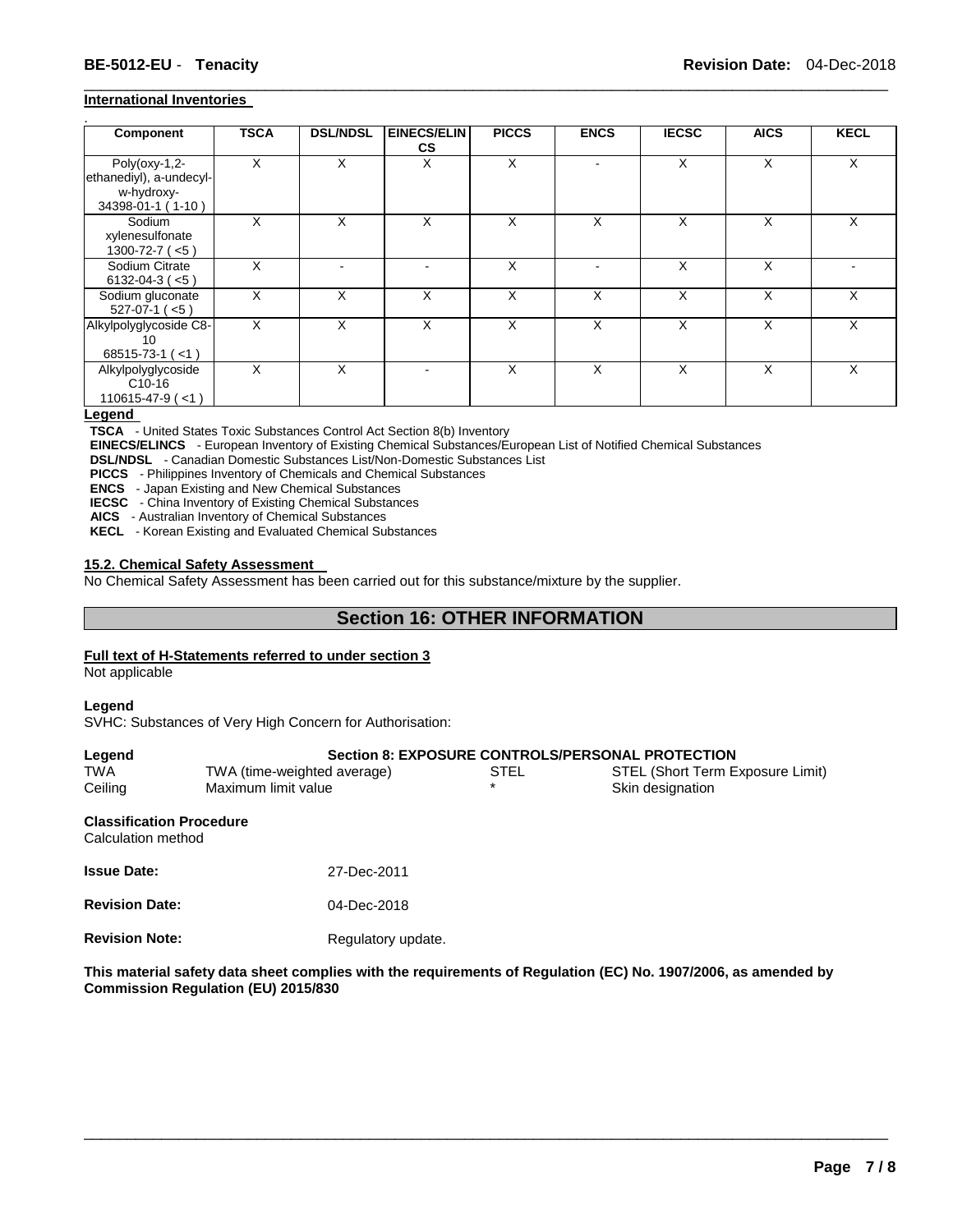### **International Inventories**

| Component                                                                      | <b>TSCA</b> | <b>DSL/NDSL</b> | EINECS/ELIN | <b>PICCS</b> | <b>ENCS</b> | <b>IECSC</b> | <b>AICS</b> | <b>KECL</b> |
|--------------------------------------------------------------------------------|-------------|-----------------|-------------|--------------|-------------|--------------|-------------|-------------|
|                                                                                |             |                 | <b>CS</b>   |              |             |              |             |             |
| $Poly($ oxy-1,2-<br>ethanediyl), a-undecyl-<br>w-hydroxy-<br>34398-01-1 (1-10) | X           | X               | X           | X            |             | X            | X           | X           |
| Sodium<br>xylenesulfonate<br>$1300 - 72 - 7$ (<5)                              | X           | X               | X           | X            | X           | X            | X           | X           |
| Sodium Citrate<br>$6132 - 04 - 3 (< 5)$                                        | X           |                 |             | X            |             | X            | X           |             |
| Sodium gluconate<br>$527-07-1$ (<5)                                            | X           | X               | X           | X            | X           | X            | X           | X           |
| Alkylpolyglycoside C8-<br>10<br>$68515 - 73 - 1$ (<1)                          | X           | X               | X           | X            | X           | X            | X           | X           |
| Alkylpolyglycoside<br>C <sub>10</sub> -16<br>$110615 - 47 - 9$ (<1)            | X           | X               |             | X            | X           | X            | X           | X           |

\_\_\_\_\_\_\_\_\_\_\_\_\_\_\_\_\_\_\_\_\_\_\_\_\_\_\_\_\_\_\_\_\_\_\_\_\_\_\_\_\_\_\_\_\_\_\_\_\_\_\_\_\_\_\_\_\_\_\_\_\_\_\_\_\_\_\_\_\_\_\_\_\_\_\_\_\_\_\_\_\_\_\_\_\_\_\_\_\_\_\_\_\_

#### **Legend**

**TSCA** - United States Toxic Substances Control Act Section 8(b) Inventory

**EINECS/ELINCS** - European Inventory of Existing Chemical Substances/European List of Notified Chemical Substances

**DSL/NDSL** - Canadian Domestic Substances List/Non-Domestic Substances List

**PICCS** - Philippines Inventory of Chemicals and Chemical Substances

**ENCS** - Japan Existing and New Chemical Substances

**IECSC** - China Inventory of Existing Chemical Substances

**AICS** - Australian Inventory of Chemical Substances

**KECL** - Korean Existing and Evaluated Chemical Substances

### **15.2. Chemical Safety Assessment**

No Chemical Safety Assessment has been carried out for this substance/mixture by the supplier.

### **Section 16: OTHER INFORMATION**

### **Full text of H-Statements referred to under section 3**

Not applicable

#### **Legend**

SVHC: Substances of Very High Concern for Authorisation:

| Legend                                                | <b>Section 8: EXPOSURE CONTROLS/PERSONAL PROTECTION</b> |                             |         |                                  |
|-------------------------------------------------------|---------------------------------------------------------|-----------------------------|---------|----------------------------------|
| TWA                                                   |                                                         | TWA (time-weighted average) |         | STEL (Short Term Exposure Limit) |
| Ceiling                                               | Maximum limit value                                     |                             | $\star$ | Skin designation                 |
| <b>Classification Procedure</b><br>Calculation method |                                                         |                             |         |                                  |
| <b>Issue Date:</b>                                    |                                                         | 27-Dec-2011                 |         |                                  |
| <b>Revision Date:</b>                                 |                                                         | 04-Dec-2018                 |         |                                  |
| <b>Revision Note:</b>                                 |                                                         | Regulatory update.          |         |                                  |

**This material safety data sheet complies with the requirements of Regulation (EC) No. 1907/2006, as amended by Commission Regulation (EU) 2015/830**